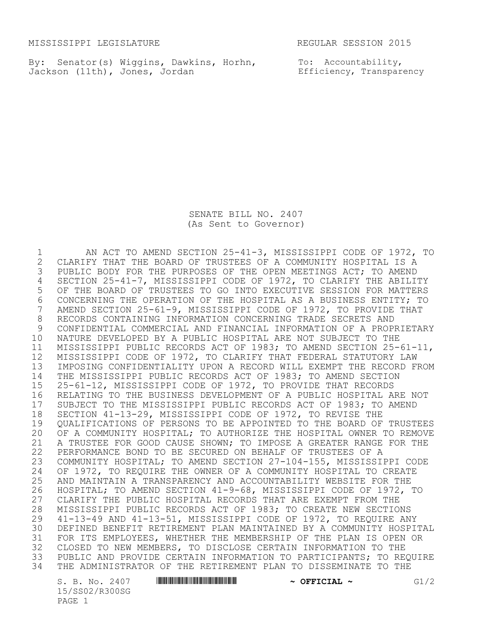MISSISSIPPI LEGISLATURE REGULAR SESSION 2015

By: Senator(s) Wiggins, Dawkins, Horhn, Jackson (11th), Jones, Jordan

To: Accountability, Efficiency, Transparency

SENATE BILL NO. 2407 (As Sent to Governor)

1 AN ACT TO AMEND SECTION 25-41-3, MISSISSIPPI CODE OF 1972, TO<br>2 CLARIFY THAT THE BOARD OF TRUSTEES OF A COMMUNITY HOSPITAL IS A 2 CLARIFY THAT THE BOARD OF TRUSTEES OF A COMMUNITY HOSPITAL IS A<br>3 PUBLIC BODY FOR THE PURPOSES OF THE OPEN MEETINGS ACT; TO AMEND PUBLIC BODY FOR THE PURPOSES OF THE OPEN MEETINGS ACT; TO AMEND 4 SECTION 25-41-7, MISSISSIPPI CODE OF 1972, TO CLARIFY THE ABILITY<br>5 OF THE BOARD OF TRUSTEES TO GO INTO EXECUTIVE SESSION FOR MATTERS OF THE BOARD OF TRUSTEES TO GO INTO EXECUTIVE SESSION FOR MATTERS 6 CONCERNING THE OPERATION OF THE HOSPITAL AS A BUSINESS ENTITY; TO<br>7 AMEND SECTION 25-61-9, MISSISSIPPI CODE OF 1972, TO PROVIDE THAT 7 AMEND SECTION 25-61-9, MISSISSIPPI CODE OF 1972, TO PROVIDE THAT<br>8 RECORDS CONTAINING INFORMATION CONCERNING TRADE SECRETS AND 8 RECORDS CONTAINING INFORMATION CONCERNING TRADE SECRETS AND<br>9 CONFIDENTIAL COMMERCIAL AND FINANCIAL INFORMATION OF A PROPI CONFIDENTIAL COMMERCIAL AND FINANCIAL INFORMATION OF A PROPRIETARY 10 NATURE DEVELOPED BY A PUBLIC HOSPITAL ARE NOT SUBJECT TO THE 11 MISSISSIPPI PUBLIC RECORDS ACT OF 1983; TO AMEND SECTION 25-61-11, 12 MISSISSIPPI CODE OF 1972, TO CLARIFY THAT FEDERAL STATUTORY LAW 13 IMPOSING CONFIDENTIALITY UPON A RECORD WILL EXEMPT THE RECORD FROM 14 THE MISSISSIPPI PUBLIC RECORDS ACT OF 1983; TO AMEND SECTION 15 25-61-12, MISSISSIPPI CODE OF 1972, TO PROVIDE THAT RECORDS 16 RELATING TO THE BUSINESS DEVELOPMENT OF A PUBLIC HOSPITAL ARE NOT 17 SUBJECT TO THE MISSISSIPPI PUBLIC RECORDS ACT OF 1983; TO AMEND<br>18 SECTION 41-13-29, MISSISSIPPI CODE OF 1972, TO REVISE THE 18 SECTION 41-13-29, MISSISSIPPI CODE OF 1972, TO REVISE THE<br>19 OUALIFICATIONS OF PERSONS TO BE APPOINTED TO THE BOARD OF 19 QUALIFICATIONS OF PERSONS TO BE APPOINTED TO THE BOARD OF TRUSTEES<br>20 OF A COMMUNITY HOSPITAL: TO AUTHORIZE THE HOSPITAL OWNER TO REMOVE OF A COMMUNITY HOSPITAL; TO AUTHORIZE THE HOSPITAL OWNER TO REMOVE 21 A TRUSTEE FOR GOOD CAUSE SHOWN; TO IMPOSE A GREATER RANGE FOR THE 22 PERFORMANCE BOND TO BE SECURED ON BEHALF OF TRUSTEES OF A 23 COMMUNITY HOSPITAL; TO AMEND SECTION 27-104-155, MISSISSIPPI CODE 24 OF 1972, TO REQUIRE THE OWNER OF A COMMUNITY HOSPITAL TO CREATE<br>25 AND MAINTAIN A TRANSPARENCY AND ACCOUNTABILITY WEBSITE FOR THE 25 AND MAINTAIN A TRANSPARENCY AND ACCOUNTABILITY WEBSITE FOR THE<br>26 HOSPITAL: TO AMEND SECTION 41-9-68, MISSISSIPPI CODE OF 1972, 26 HOSPITAL; TO AMEND SECTION 41-9-68, MISSISSIPPI CODE OF 1972, TO<br>27 CLARIFY THE PUBLIC HOSPITAL RECORDS THAT ARE EXEMPT FROM THE CLARIFY THE PUBLIC HOSPITAL RECORDS THAT ARE EXEMPT FROM THE 28 MISSISSIPPI PUBLIC RECORDS ACT OF 1983; TO CREATE NEW SECTIONS<br>29 41-13-49 AND 41-13-51, MISSISSIPPI CODE OF 1972, TO REOUIRE AN 29 41-13-49 AND 41-13-51, MISSISSIPPI CODE OF 1972, TO REQUIRE ANY 30 DEFINED BENEFIT RETIREMENT PLAN MAINTAINED BY A COMMUNITY HOSPITAL 31 FOR ITS EMPLOYEES, WHETHER THE MEMBERSHIP OF THE PLAN IS OPEN OR 32 CLOSED TO NEW MEMBERS, TO DISCLOSE CERTAIN INFORMATION TO THE<br>33 PUBLIC AND PROVIDE CERTAIN INFORMATION TO PARTICIPANTS; TO REG PUBLIC AND PROVIDE CERTAIN INFORMATION TO PARTICIPANTS; TO REQUIRE 34 THE ADMINISTRATOR OF THE RETIREMENT PLAN TO DISSEMINATE TO THE

15/SS02/R300SG PAGE 1

S. B. No. 2407 **\*\*\* ASSEMBER # OFFICIAL ~ G1/2**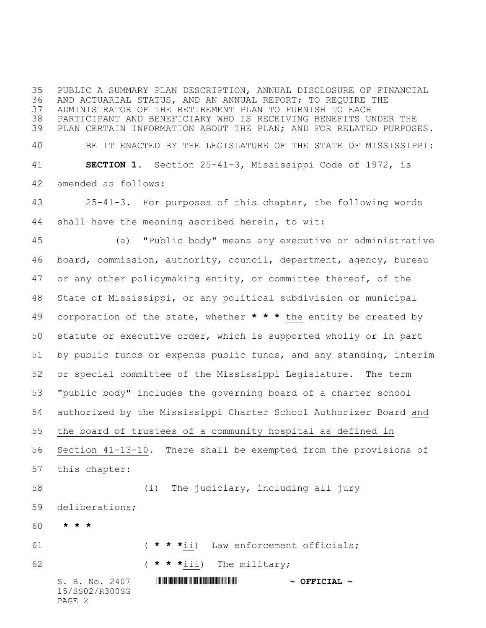PUBLIC A SUMMARY PLAN DESCRIPTION, ANNUAL DISCLOSURE OF FINANCIAL AND ACTUARIAL STATUS, AND AN ANNUAL REPORT; TO REQUIRE THE ADMINISTRATOR OF THE RETIREMENT PLAN TO FURNISH TO EACH PARTICIPANT AND BENEFICIARY WHO IS RECEIVING BENEFITS UNDER THE PLAN CERTAIN INFORMATION ABOUT THE PLAN; AND FOR RELATED PURPOSES. BE IT ENACTED BY THE LEGISLATURE OF THE STATE OF MISSISSIPPI: **SECTION 1.** Section 25-41-3, Mississippi Code of 1972, is amended as follows:

 25-41-3. For purposes of this chapter, the following words shall have the meaning ascribed herein, to wit:

 (a) "Public body" means any executive or administrative board, commission, authority, council, department, agency, bureau 47 or any other policymaking entity, or committee thereof, of the State of Mississippi, or any political subdivision or municipal corporation of the state, whether **\* \* \*** the entity be created by statute or executive order, which is supported wholly or in part by public funds or expends public funds, and any standing, interim or special committee of the Mississippi Legislature. The term "public body" includes the governing board of a charter school authorized by the Mississippi Charter School Authorizer Board and the board of trustees of a community hospital as defined in Section 41-13-10. There shall be exempted from the provisions of this chapter: (i) The judiciary, including all jury deliberations; **\* \* \***

S. B. No. 2407 \*SS02/R300SG\* **~ OFFICIAL ~** ( **\* \* \***ii) Law enforcement officials; ( **\* \* \***iii) The military;

15/SS02/R300SG PAGE 2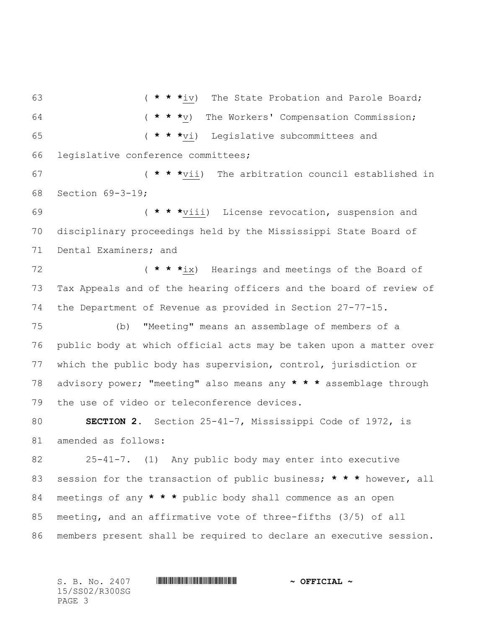( **\* \* \***iv) The State Probation and Parole Board; ( **\* \* \***v) The Workers' Compensation Commission; ( **\* \* \***vi) Legislative subcommittees and legislative conference committees; ( **\* \* \***vii) The arbitration council established in Section 69-3-19; ( **\* \* \***viii) License revocation, suspension and disciplinary proceedings held by the Mississippi State Board of Dental Examiners; and ( **\* \* \***ix) Hearings and meetings of the Board of Tax Appeals and of the hearing officers and the board of review of the Department of Revenue as provided in Section 27-77-15. (b) "Meeting" means an assemblage of members of a public body at which official acts may be taken upon a matter over which the public body has supervision, control, jurisdiction or advisory power; "meeting" also means any **\* \* \*** assemblage through the use of video or teleconference devices. **SECTION 2.** Section 25-41-7, Mississippi Code of 1972, is amended as follows: 25-41-7. (1) Any public body may enter into executive session for the transaction of public business; **\* \* \*** however, all meetings of any **\* \* \*** public body shall commence as an open meeting, and an affirmative vote of three-fifths (3/5) of all members present shall be required to declare an executive session.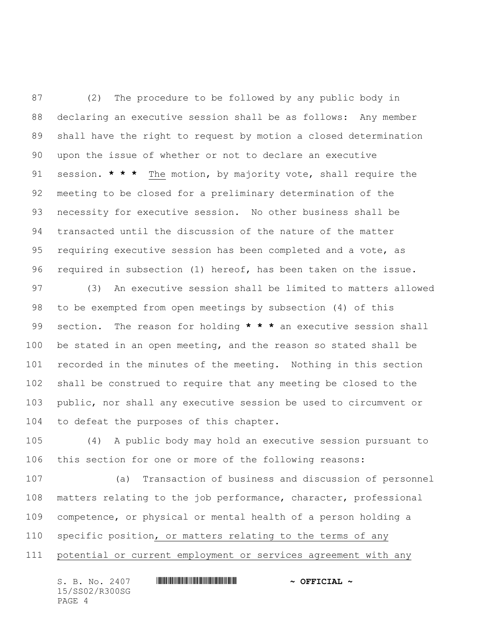(2) The procedure to be followed by any public body in declaring an executive session shall be as follows: Any member shall have the right to request by motion a closed determination upon the issue of whether or not to declare an executive session. **\* \* \*** The motion, by majority vote, shall require the meeting to be closed for a preliminary determination of the necessity for executive session. No other business shall be transacted until the discussion of the nature of the matter requiring executive session has been completed and a vote, as required in subsection (1) hereof, has been taken on the issue.

 (3) An executive session shall be limited to matters allowed to be exempted from open meetings by subsection (4) of this section. The reason for holding **\* \* \*** an executive session shall be stated in an open meeting, and the reason so stated shall be recorded in the minutes of the meeting. Nothing in this section shall be construed to require that any meeting be closed to the public, nor shall any executive session be used to circumvent or to defeat the purposes of this chapter.

 (4) A public body may hold an executive session pursuant to this section for one or more of the following reasons:

 (a) Transaction of business and discussion of personnel matters relating to the job performance, character, professional competence, or physical or mental health of a person holding a specific position, or matters relating to the terms of any potential or current employment or services agreement with any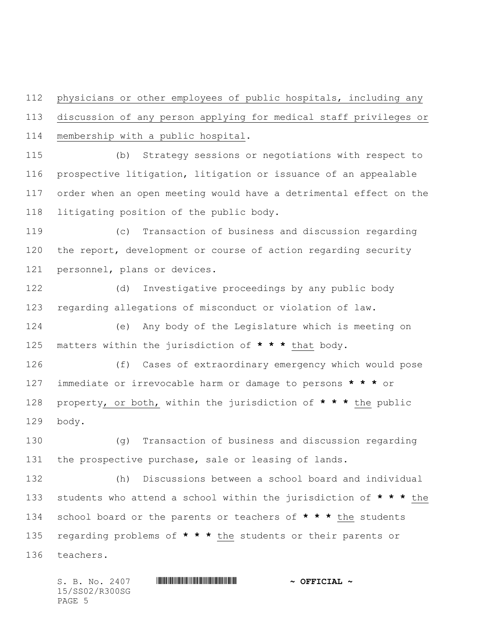physicians or other employees of public hospitals, including any discussion of any person applying for medical staff privileges or membership with a public hospital.

 (b) Strategy sessions or negotiations with respect to prospective litigation, litigation or issuance of an appealable order when an open meeting would have a detrimental effect on the litigating position of the public body.

 (c) Transaction of business and discussion regarding the report, development or course of action regarding security personnel, plans or devices.

 (d) Investigative proceedings by any public body regarding allegations of misconduct or violation of law.

 (e) Any body of the Legislature which is meeting on matters within the jurisdiction of **\* \* \*** that body.

 (f) Cases of extraordinary emergency which would pose immediate or irrevocable harm or damage to persons **\* \* \*** or property, or both, within the jurisdiction of **\* \* \*** the public body.

 (g) Transaction of business and discussion regarding the prospective purchase, sale or leasing of lands.

 (h) Discussions between a school board and individual students who attend a school within the jurisdiction of **\* \* \*** the school board or the parents or teachers of **\* \* \*** the students regarding problems of **\* \* \*** the students or their parents or teachers.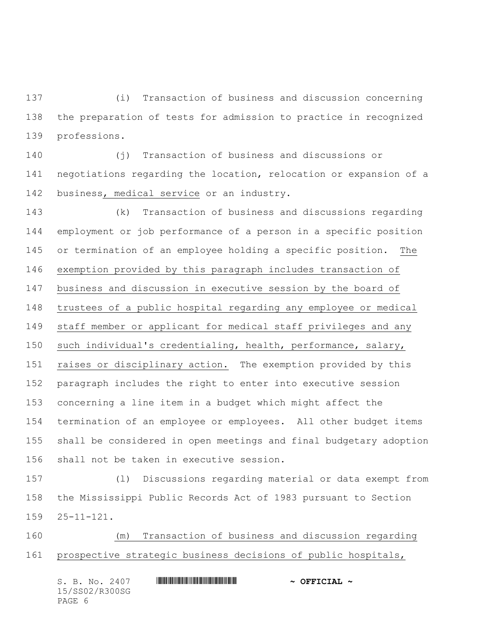(i) Transaction of business and discussion concerning the preparation of tests for admission to practice in recognized professions.

 (j) Transaction of business and discussions or negotiations regarding the location, relocation or expansion of a business, medical service or an industry.

 (k) Transaction of business and discussions regarding employment or job performance of a person in a specific position or termination of an employee holding a specific position. The exemption provided by this paragraph includes transaction of business and discussion in executive session by the board of trustees of a public hospital regarding any employee or medical staff member or applicant for medical staff privileges and any such individual's credentialing, health, performance, salary, raises or disciplinary action. The exemption provided by this paragraph includes the right to enter into executive session concerning a line item in a budget which might affect the termination of an employee or employees. All other budget items shall be considered in open meetings and final budgetary adoption shall not be taken in executive session.

 (l) Discussions regarding material or data exempt from the Mississippi Public Records Act of 1983 pursuant to Section 25-11-121.

 (m) Transaction of business and discussion regarding prospective strategic business decisions of public hospitals,

| S. B. No. 2407 | $\sim$ OFFICIAL $\sim$ |
|----------------|------------------------|
| 15/SS02/R300SG |                        |
| PAGE 6         |                        |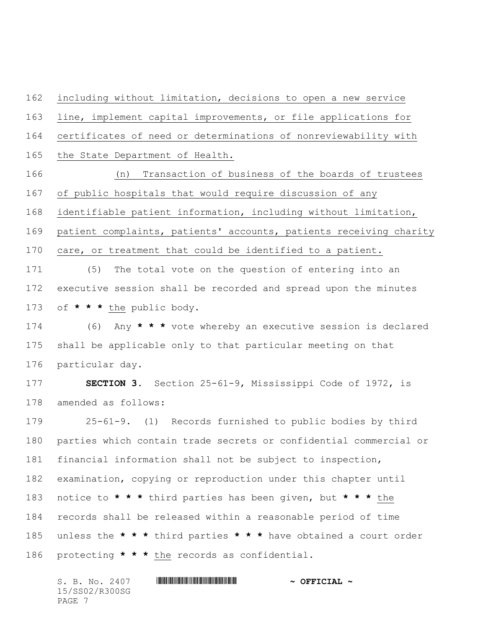including without limitation, decisions to open a new service line, implement capital improvements, or file applications for certificates of need or determinations of nonreviewability with the State Department of Health. (n) Transaction of business of the boards of trustees of public hospitals that would require discussion of any identifiable patient information, including without limitation, patient complaints, patients' accounts, patients receiving charity care, or treatment that could be identified to a patient. (5) The total vote on the question of entering into an executive session shall be recorded and spread upon the minutes of **\* \* \*** the public body. (6) Any **\* \* \*** vote whereby an executive session is declared shall be applicable only to that particular meeting on that particular day. **SECTION 3.** Section 25-61-9, Mississippi Code of 1972, is amended as follows: 25-61-9. (1) Records furnished to public bodies by third parties which contain trade secrets or confidential commercial or financial information shall not be subject to inspection, examination, copying or reproduction under this chapter until notice to **\* \* \*** third parties has been given, but **\* \* \*** the records shall be released within a reasonable period of time unless the **\* \* \*** third parties **\* \* \*** have obtained a court order protecting **\* \* \*** the records as confidential.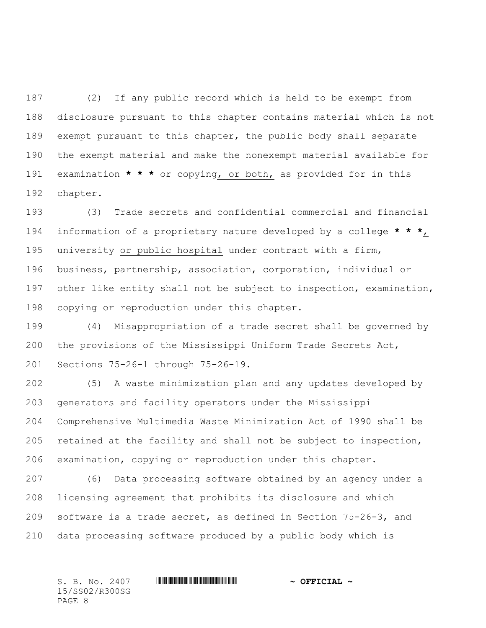(2) If any public record which is held to be exempt from disclosure pursuant to this chapter contains material which is not exempt pursuant to this chapter, the public body shall separate the exempt material and make the nonexempt material available for examination **\* \* \*** or copying, or both, as provided for in this chapter.

 (3) Trade secrets and confidential commercial and financial information of a proprietary nature developed by a college **\* \* \***, university or public hospital under contract with a firm, business, partnership, association, corporation, individual or other like entity shall not be subject to inspection, examination, copying or reproduction under this chapter.

 (4) Misappropriation of a trade secret shall be governed by the provisions of the Mississippi Uniform Trade Secrets Act, Sections 75-26-1 through 75-26-19.

 (5) A waste minimization plan and any updates developed by generators and facility operators under the Mississippi Comprehensive Multimedia Waste Minimization Act of 1990 shall be retained at the facility and shall not be subject to inspection, examination, copying or reproduction under this chapter.

 (6) Data processing software obtained by an agency under a licensing agreement that prohibits its disclosure and which software is a trade secret, as defined in Section 75-26-3, and data processing software produced by a public body which is

15/SS02/R300SG PAGE 8

S. B. No. 2407 \*SS02/R300SG\* **~ OFFICIAL ~**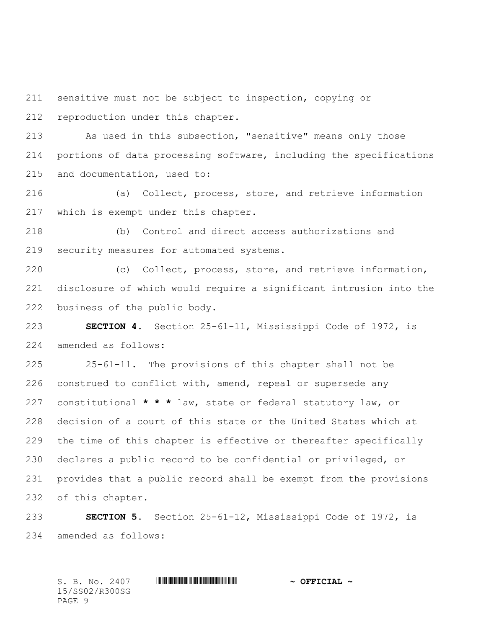sensitive must not be subject to inspection, copying or reproduction under this chapter.

 As used in this subsection, "sensitive" means only those portions of data processing software, including the specifications and documentation, used to:

 (a) Collect, process, store, and retrieve information which is exempt under this chapter.

 (b) Control and direct access authorizations and security measures for automated systems.

 (c) Collect, process, store, and retrieve information, disclosure of which would require a significant intrusion into the business of the public body.

 **SECTION 4.** Section 25-61-11, Mississippi Code of 1972, is amended as follows:

 25-61-11. The provisions of this chapter shall not be 226 construed to conflict with, amend, repeal or supersede any constitutional **\* \* \*** law, state or federal statutory law, or decision of a court of this state or the United States which at the time of this chapter is effective or thereafter specifically declares a public record to be confidential or privileged, or provides that a public record shall be exempt from the provisions of this chapter.

 **SECTION 5.** Section 25-61-12, Mississippi Code of 1972, is amended as follows: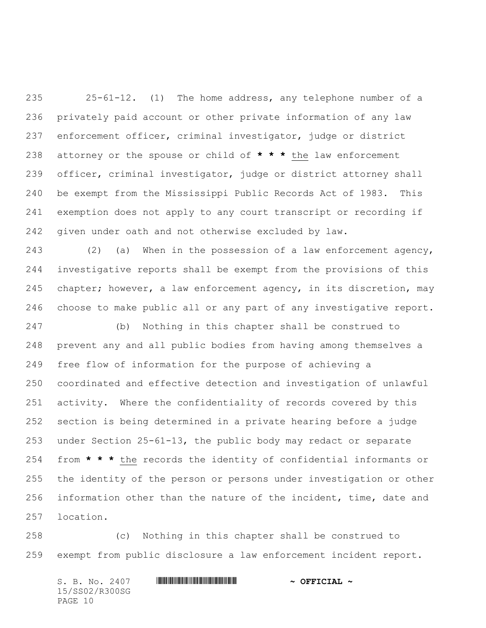25-61-12. (1) The home address, any telephone number of a privately paid account or other private information of any law enforcement officer, criminal investigator, judge or district attorney or the spouse or child of **\* \* \*** the law enforcement officer, criminal investigator, judge or district attorney shall be exempt from the Mississippi Public Records Act of 1983. This exemption does not apply to any court transcript or recording if given under oath and not otherwise excluded by law.

 (2) (a) When in the possession of a law enforcement agency, investigative reports shall be exempt from the provisions of this chapter; however, a law enforcement agency, in its discretion, may choose to make public all or any part of any investigative report.

 (b) Nothing in this chapter shall be construed to prevent any and all public bodies from having among themselves a free flow of information for the purpose of achieving a coordinated and effective detection and investigation of unlawful activity. Where the confidentiality of records covered by this section is being determined in a private hearing before a judge under Section 25-61-13, the public body may redact or separate from **\* \* \*** the records the identity of confidential informants or the identity of the person or persons under investigation or other information other than the nature of the incident, time, date and location.

 (c) Nothing in this chapter shall be construed to exempt from public disclosure a law enforcement incident report.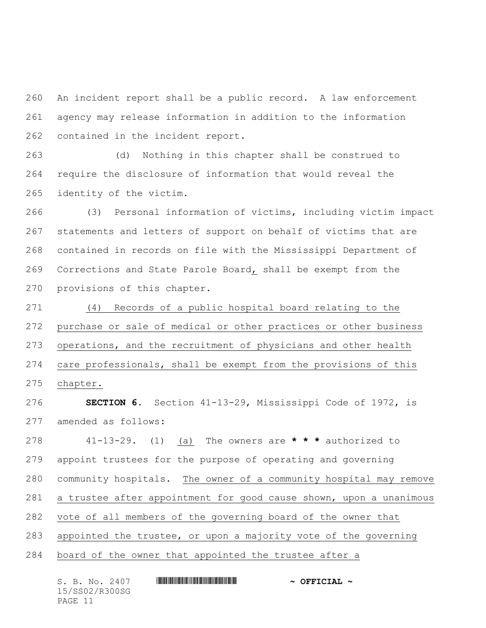An incident report shall be a public record. A law enforcement agency may release information in addition to the information contained in the incident report.

 (d) Nothing in this chapter shall be construed to require the disclosure of information that would reveal the identity of the victim.

 (3) Personal information of victims, including victim impact statements and letters of support on behalf of victims that are contained in records on file with the Mississippi Department of Corrections and State Parole Board, shall be exempt from the provisions of this chapter.

 (4) Records of a public hospital board relating to the purchase or sale of medical or other practices or other business operations, and the recruitment of physicians and other health care professionals, shall be exempt from the provisions of this chapter.

 **SECTION 6.** Section 41-13-29, Mississippi Code of 1972, is amended as follows:

 41-13-29. (1) (a) The owners are **\* \* \*** authorized to appoint trustees for the purpose of operating and governing community hospitals. The owner of a community hospital may remove a trustee after appointment for good cause shown, upon a unanimous vote of all members of the governing board of the owner that appointed the trustee, or upon a majority vote of the governing board of the owner that appointed the trustee after a

| S. B. No. 2407 | $\sim$ OFFICIAL $\sim$ |
|----------------|------------------------|
| 15/SS02/R300SG |                        |
| PAGE 11        |                        |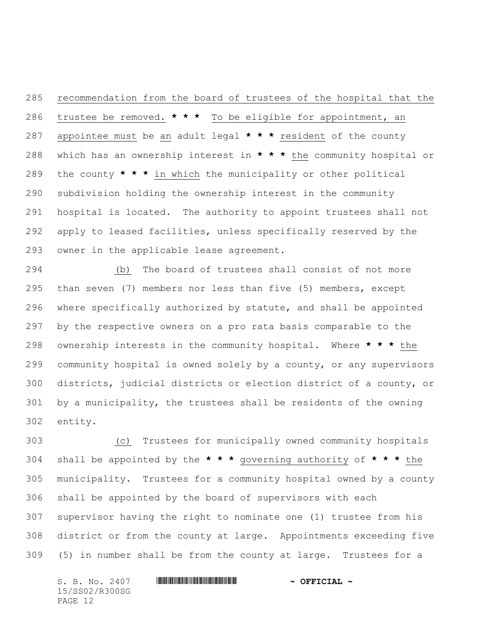recommendation from the board of trustees of the hospital that the trustee be removed. **\* \* \*** To be eligible for appointment, an appointee must be an adult legal **\* \* \*** resident of the county which has an ownership interest in **\* \* \*** the community hospital or the county **\* \* \*** in which the municipality or other political subdivision holding the ownership interest in the community hospital is located. The authority to appoint trustees shall not apply to leased facilities, unless specifically reserved by the owner in the applicable lease agreement.

 (b) The board of trustees shall consist of not more than seven (7) members nor less than five (5) members, except where specifically authorized by statute, and shall be appointed by the respective owners on a pro rata basis comparable to the ownership interests in the community hospital. Where **\* \* \*** the community hospital is owned solely by a county, or any supervisors districts, judicial districts or election district of a county, or by a municipality, the trustees shall be residents of the owning entity.

 (c) Trustees for municipally owned community hospitals shall be appointed by the **\* \* \*** governing authority of **\* \* \*** the municipality. Trustees for a community hospital owned by a county shall be appointed by the board of supervisors with each supervisor having the right to nominate one (1) trustee from his district or from the county at large. Appointments exceeding five (5) in number shall be from the county at large. Trustees for a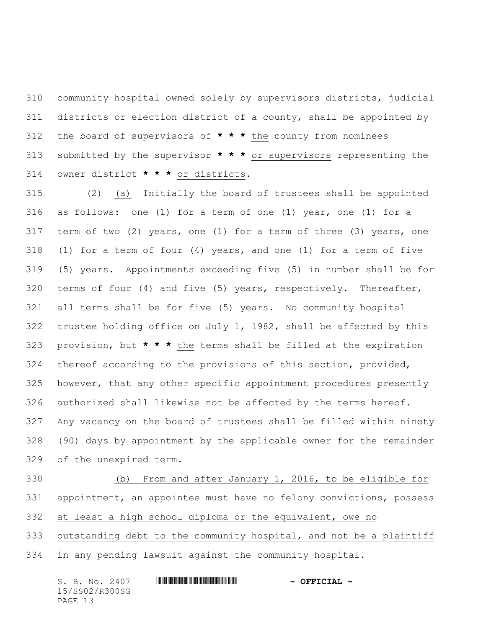community hospital owned solely by supervisors districts, judicial districts or election district of a county, shall be appointed by the board of supervisors of **\* \* \*** the county from nominees submitted by the supervisor **\* \* \*** or supervisors representing the owner district **\* \* \*** or districts.

 (2) (a) Initially the board of trustees shall be appointed as follows: one (1) for a term of one (1) year, one (1) for a term of two (2) years, one (1) for a term of three (3) years, one (1) for a term of four (4) years, and one (1) for a term of five (5) years. Appointments exceeding five (5) in number shall be for terms of four (4) and five (5) years, respectively. Thereafter, all terms shall be for five (5) years. No community hospital trustee holding office on July 1, 1982, shall be affected by this provision, but **\* \* \*** the terms shall be filled at the expiration thereof according to the provisions of this section, provided, however, that any other specific appointment procedures presently authorized shall likewise not be affected by the terms hereof. Any vacancy on the board of trustees shall be filled within ninety (90) days by appointment by the applicable owner for the remainder of the unexpired term.

 (b) From and after January 1, 2016, to be eligible for appointment, an appointee must have no felony convictions, possess at least a high school diploma or the equivalent, owe no outstanding debt to the community hospital, and not be a plaintiff

in any pending lawsuit against the community hospital.

| S. B. No. 2407 | $\sim$ OFFICIAL $\sim$ |
|----------------|------------------------|
| 15/SS02/R300SG |                        |
| PAGE 13        |                        |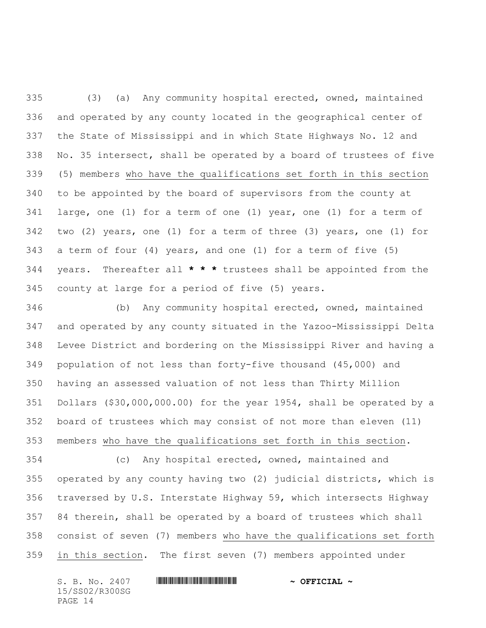(3) (a) Any community hospital erected, owned, maintained and operated by any county located in the geographical center of the State of Mississippi and in which State Highways No. 12 and No. 35 intersect, shall be operated by a board of trustees of five (5) members who have the qualifications set forth in this section to be appointed by the board of supervisors from the county at large, one (1) for a term of one (1) year, one (1) for a term of two (2) years, one (1) for a term of three (3) years, one (1) for a term of four (4) years, and one (1) for a term of five (5) years. Thereafter all **\* \* \*** trustees shall be appointed from the county at large for a period of five (5) years.

 (b) Any community hospital erected, owned, maintained and operated by any county situated in the Yazoo-Mississippi Delta Levee District and bordering on the Mississippi River and having a population of not less than forty-five thousand (45,000) and having an assessed valuation of not less than Thirty Million Dollars (\$30,000,000.00) for the year 1954, shall be operated by a board of trustees which may consist of not more than eleven (11) members who have the qualifications set forth in this section.

 (c) Any hospital erected, owned, maintained and operated by any county having two (2) judicial districts, which is traversed by U.S. Interstate Highway 59, which intersects Highway 84 therein, shall be operated by a board of trustees which shall consist of seven (7) members who have the qualifications set forth in this section. The first seven (7) members appointed under

15/SS02/R300SG PAGE 14

## S. B. No. 2407 \*SS02/R300SG\* **~ OFFICIAL ~**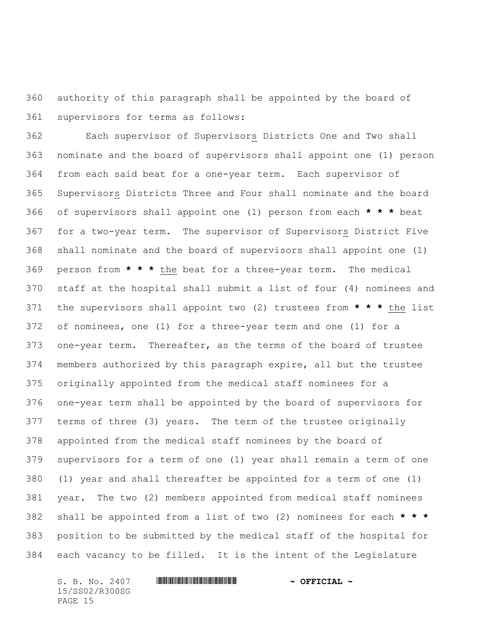authority of this paragraph shall be appointed by the board of supervisors for terms as follows:

 Each supervisor of Supervisors Districts One and Two shall nominate and the board of supervisors shall appoint one (1) person from each said beat for a one-year term. Each supervisor of Supervisors Districts Three and Four shall nominate and the board of supervisors shall appoint one (1) person from each **\* \* \*** beat for a two-year term. The supervisor of Supervisors District Five shall nominate and the board of supervisors shall appoint one (1) person from **\* \* \*** the beat for a three-year term. The medical staff at the hospital shall submit a list of four (4) nominees and the supervisors shall appoint two (2) trustees from **\* \* \*** the list of nominees, one (1) for a three-year term and one (1) for a one-year term. Thereafter, as the terms of the board of trustee members authorized by this paragraph expire, all but the trustee originally appointed from the medical staff nominees for a one-year term shall be appointed by the board of supervisors for terms of three (3) years. The term of the trustee originally appointed from the medical staff nominees by the board of supervisors for a term of one (1) year shall remain a term of one (1) year and shall thereafter be appointed for a term of one (1) year. The two (2) members appointed from medical staff nominees shall be appointed from a list of two (2) nominees for each **\* \* \*** position to be submitted by the medical staff of the hospital for each vacancy to be filled. It is the intent of the Legislature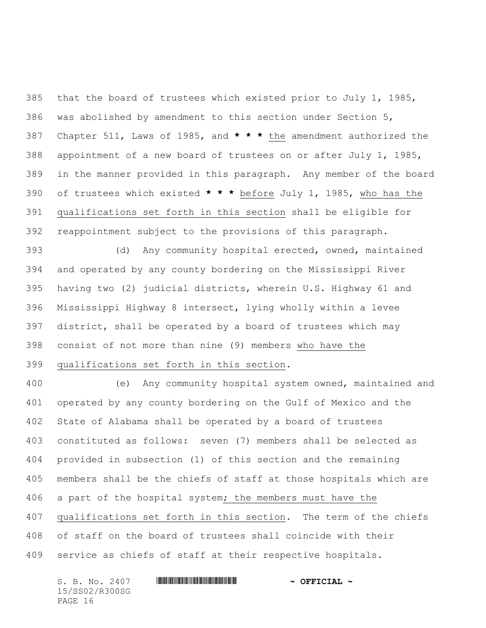that the board of trustees which existed prior to July 1, 1985, was abolished by amendment to this section under Section 5, Chapter 511, Laws of 1985, and **\* \* \*** the amendment authorized the appointment of a new board of trustees on or after July 1, 1985, in the manner provided in this paragraph. Any member of the board of trustees which existed **\* \* \*** before July 1, 1985, who has the qualifications set forth in this section shall be eligible for reappointment subject to the provisions of this paragraph.

 (d) Any community hospital erected, owned, maintained and operated by any county bordering on the Mississippi River having two (2) judicial districts, wherein U.S. Highway 61 and Mississippi Highway 8 intersect, lying wholly within a levee district, shall be operated by a board of trustees which may consist of not more than nine (9) members who have the qualifications set forth in this section.

 (e) Any community hospital system owned, maintained and operated by any county bordering on the Gulf of Mexico and the State of Alabama shall be operated by a board of trustees constituted as follows: seven (7) members shall be selected as provided in subsection (1) of this section and the remaining members shall be the chiefs of staff at those hospitals which are a part of the hospital system; the members must have the qualifications set forth in this section. The term of the chiefs of staff on the board of trustees shall coincide with their service as chiefs of staff at their respective hospitals.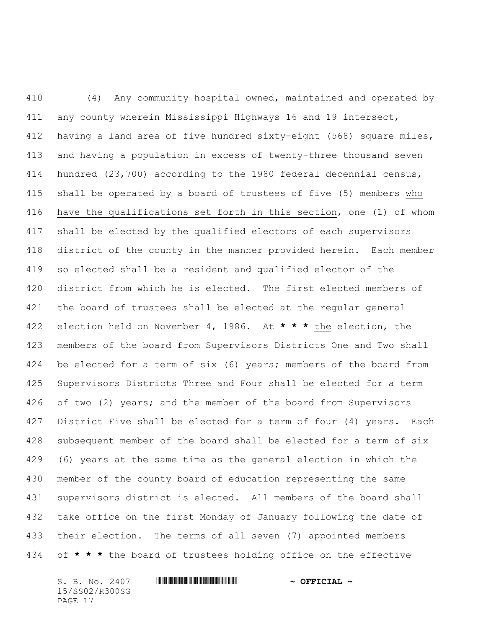(4) Any community hospital owned, maintained and operated by any county wherein Mississippi Highways 16 and 19 intersect, having a land area of five hundred sixty-eight (568) square miles, and having a population in excess of twenty-three thousand seven hundred (23,700) according to the 1980 federal decennial census, shall be operated by a board of trustees of five (5) members who have the qualifications set forth in this section, one (1) of whom shall be elected by the qualified electors of each supervisors district of the county in the manner provided herein. Each member so elected shall be a resident and qualified elector of the district from which he is elected. The first elected members of the board of trustees shall be elected at the regular general election held on November 4, 1986. At **\* \* \*** the election, the members of the board from Supervisors Districts One and Two shall be elected for a term of six (6) years; members of the board from Supervisors Districts Three and Four shall be elected for a term of two (2) years; and the member of the board from Supervisors District Five shall be elected for a term of four (4) years. Each subsequent member of the board shall be elected for a term of six (6) years at the same time as the general election in which the member of the county board of education representing the same supervisors district is elected. All members of the board shall take office on the first Monday of January following the date of their election. The terms of all seven (7) appointed members of **\* \* \*** the board of trustees holding office on the effective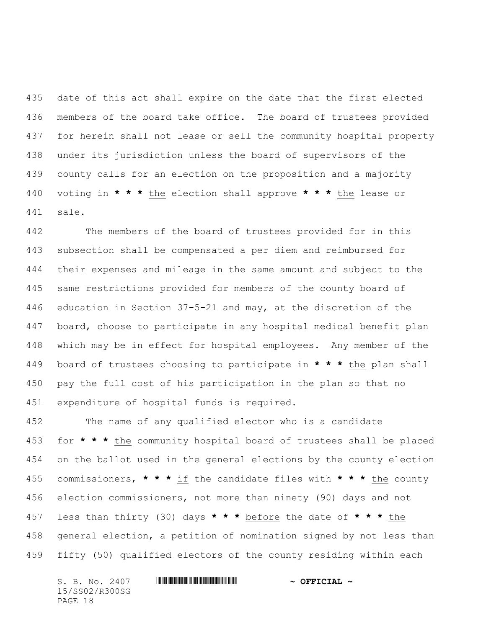date of this act shall expire on the date that the first elected members of the board take office. The board of trustees provided for herein shall not lease or sell the community hospital property under its jurisdiction unless the board of supervisors of the county calls for an election on the proposition and a majority voting in **\* \* \*** the election shall approve **\* \* \*** the lease or sale.

 The members of the board of trustees provided for in this subsection shall be compensated a per diem and reimbursed for their expenses and mileage in the same amount and subject to the same restrictions provided for members of the county board of education in Section 37-5-21 and may, at the discretion of the board, choose to participate in any hospital medical benefit plan which may be in effect for hospital employees. Any member of the board of trustees choosing to participate in **\* \* \*** the plan shall pay the full cost of his participation in the plan so that no expenditure of hospital funds is required.

 The name of any qualified elector who is a candidate for **\* \* \*** the community hospital board of trustees shall be placed on the ballot used in the general elections by the county election commissioners, **\* \* \*** if the candidate files with **\* \* \*** the county election commissioners, not more than ninety (90) days and not less than thirty (30) days **\* \* \*** before the date of **\* \* \*** the general election, a petition of nomination signed by not less than fifty (50) qualified electors of the county residing within each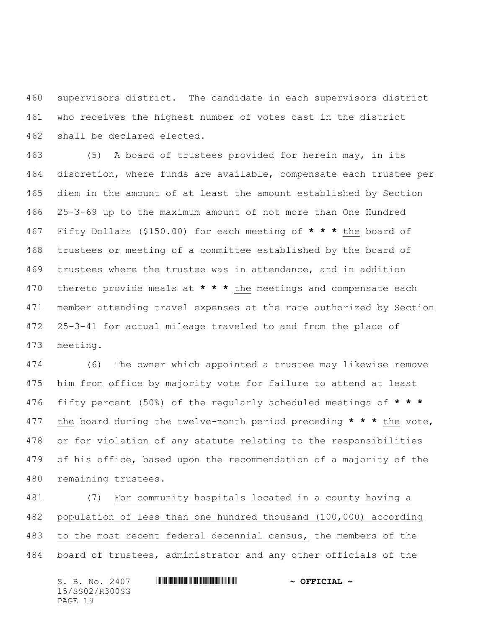supervisors district. The candidate in each supervisors district who receives the highest number of votes cast in the district shall be declared elected.

 (5) A board of trustees provided for herein may, in its discretion, where funds are available, compensate each trustee per diem in the amount of at least the amount established by Section 25-3-69 up to the maximum amount of not more than One Hundred Fifty Dollars (\$150.00) for each meeting of **\* \* \*** the board of trustees or meeting of a committee established by the board of trustees where the trustee was in attendance, and in addition thereto provide meals at **\* \* \*** the meetings and compensate each member attending travel expenses at the rate authorized by Section 25-3-41 for actual mileage traveled to and from the place of meeting.

 (6) The owner which appointed a trustee may likewise remove him from office by majority vote for failure to attend at least fifty percent (50%) of the regularly scheduled meetings of **\* \* \*** the board during the twelve-month period preceding **\* \* \*** the vote, or for violation of any statute relating to the responsibilities of his office, based upon the recommendation of a majority of the remaining trustees.

 (7) For community hospitals located in a county having a population of less than one hundred thousand (100,000) according to the most recent federal decennial census, the members of the board of trustees, administrator and any other officials of the

| S. B. No. 2407 | $\sim$ OFFICIAL $\sim$ |
|----------------|------------------------|
| 15/SS02/R300SG |                        |
| PAGE 19        |                        |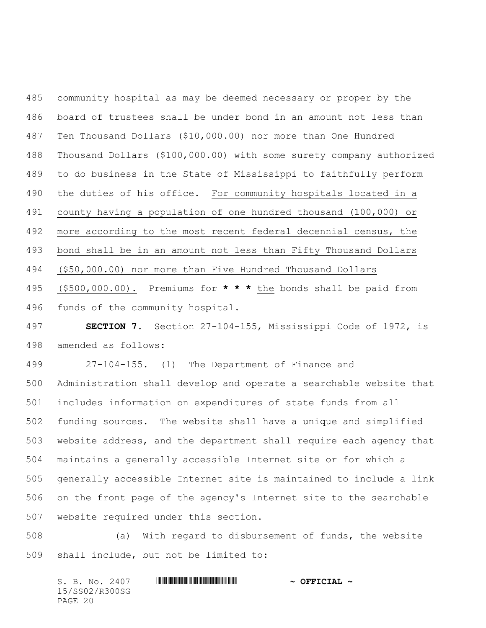community hospital as may be deemed necessary or proper by the board of trustees shall be under bond in an amount not less than Ten Thousand Dollars (\$10,000.00) nor more than One Hundred Thousand Dollars (\$100,000.00) with some surety company authorized to do business in the State of Mississippi to faithfully perform the duties of his office. For community hospitals located in a county having a population of one hundred thousand (100,000) or more according to the most recent federal decennial census, the bond shall be in an amount not less than Fifty Thousand Dollars (\$50,000.00) nor more than Five Hundred Thousand Dollars (\$500,000.00). Premiums for **\* \* \*** the bonds shall be paid from funds of the community hospital.

 **SECTION 7.** Section 27-104-155, Mississippi Code of 1972, is amended as follows:

 27-104-155. (1) The Department of Finance and Administration shall develop and operate a searchable website that includes information on expenditures of state funds from all funding sources. The website shall have a unique and simplified website address, and the department shall require each agency that maintains a generally accessible Internet site or for which a generally accessible Internet site is maintained to include a link on the front page of the agency's Internet site to the searchable website required under this section.

 (a) With regard to disbursement of funds, the website shall include, but not be limited to: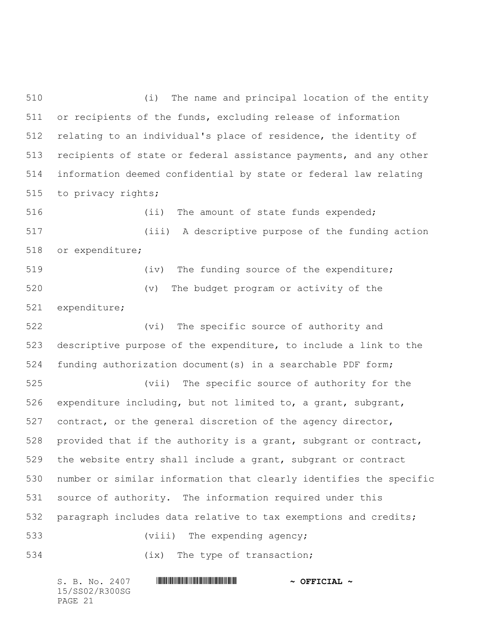(i) The name and principal location of the entity or recipients of the funds, excluding release of information relating to an individual's place of residence, the identity of recipients of state or federal assistance payments, and any other information deemed confidential by state or federal law relating to privacy rights;

516 (ii) The amount of state funds expended; (iii) A descriptive purpose of the funding action or expenditure;

 (iv) The funding source of the expenditure; (v) The budget program or activity of the expenditure;

 (vi) The specific source of authority and descriptive purpose of the expenditure, to include a link to the funding authorization document(s) in a searchable PDF form;

 (vii) The specific source of authority for the expenditure including, but not limited to, a grant, subgrant, contract, or the general discretion of the agency director, provided that if the authority is a grant, subgrant or contract, the website entry shall include a grant, subgrant or contract number or similar information that clearly identifies the specific source of authority. The information required under this paragraph includes data relative to tax exemptions and credits; 533 (viii) The expending agency;

534 (ix) The type of transaction;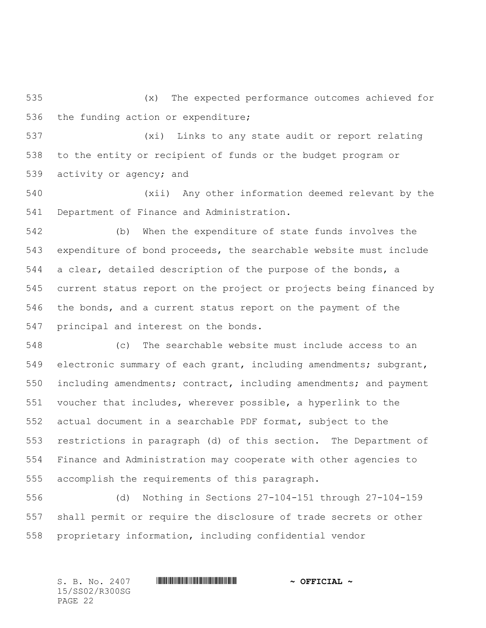(x) The expected performance outcomes achieved for the funding action or expenditure;

 (xi) Links to any state audit or report relating to the entity or recipient of funds or the budget program or activity or agency; and

 (xii) Any other information deemed relevant by the Department of Finance and Administration.

 (b) When the expenditure of state funds involves the expenditure of bond proceeds, the searchable website must include a clear, detailed description of the purpose of the bonds, a current status report on the project or projects being financed by the bonds, and a current status report on the payment of the principal and interest on the bonds.

 (c) The searchable website must include access to an electronic summary of each grant, including amendments; subgrant, including amendments; contract, including amendments; and payment voucher that includes, wherever possible, a hyperlink to the actual document in a searchable PDF format, subject to the restrictions in paragraph (d) of this section. The Department of Finance and Administration may cooperate with other agencies to accomplish the requirements of this paragraph.

 (d) Nothing in Sections 27-104-151 through 27-104-159 shall permit or require the disclosure of trade secrets or other proprietary information, including confidential vendor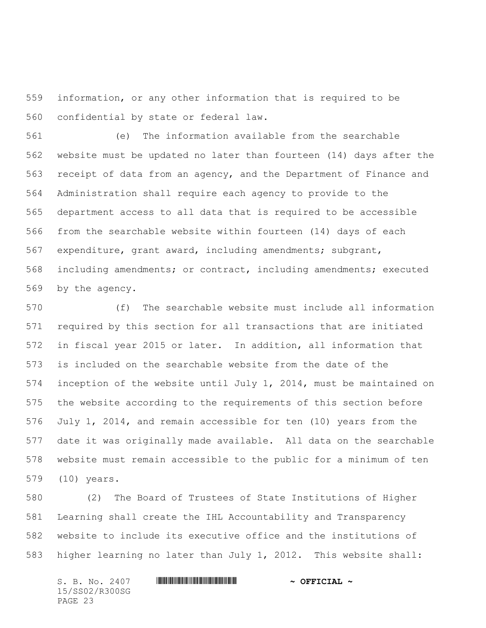information, or any other information that is required to be confidential by state or federal law.

 (e) The information available from the searchable website must be updated no later than fourteen (14) days after the receipt of data from an agency, and the Department of Finance and Administration shall require each agency to provide to the department access to all data that is required to be accessible from the searchable website within fourteen (14) days of each expenditure, grant award, including amendments; subgrant, including amendments; or contract, including amendments; executed by the agency.

 (f) The searchable website must include all information required by this section for all transactions that are initiated in fiscal year 2015 or later. In addition, all information that is included on the searchable website from the date of the inception of the website until July 1, 2014, must be maintained on the website according to the requirements of this section before July 1, 2014, and remain accessible for ten (10) years from the date it was originally made available. All data on the searchable website must remain accessible to the public for a minimum of ten (10) years.

 (2) The Board of Trustees of State Institutions of Higher Learning shall create the IHL Accountability and Transparency website to include its executive office and the institutions of higher learning no later than July 1, 2012. This website shall: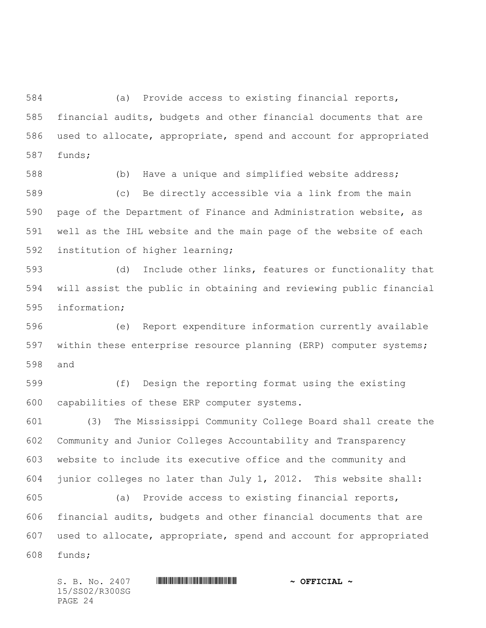(a) Provide access to existing financial reports, financial audits, budgets and other financial documents that are used to allocate, appropriate, spend and account for appropriated funds;

 (b) Have a unique and simplified website address; (c) Be directly accessible via a link from the main page of the Department of Finance and Administration website, as well as the IHL website and the main page of the website of each institution of higher learning;

 (d) Include other links, features or functionality that will assist the public in obtaining and reviewing public financial information;

 (e) Report expenditure information currently available within these enterprise resource planning (ERP) computer systems; and

 (f) Design the reporting format using the existing capabilities of these ERP computer systems.

 (3) The Mississippi Community College Board shall create the Community and Junior Colleges Accountability and Transparency website to include its executive office and the community and junior colleges no later than July 1, 2012. This website shall:

 (a) Provide access to existing financial reports, financial audits, budgets and other financial documents that are used to allocate, appropriate, spend and account for appropriated funds;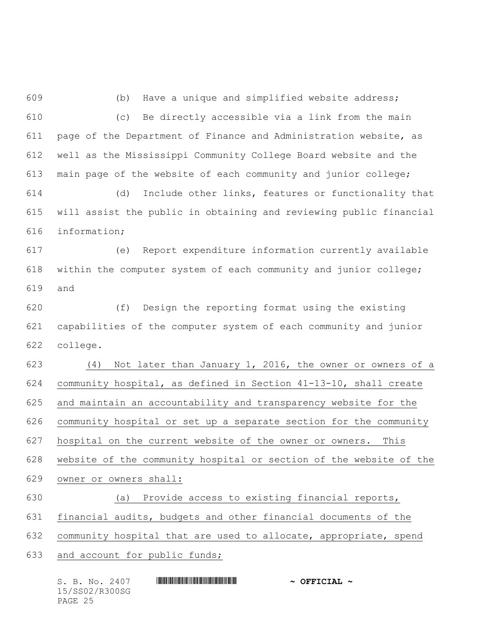(b) Have a unique and simplified website address; (c) Be directly accessible via a link from the main page of the Department of Finance and Administration website, as well as the Mississippi Community College Board website and the main page of the website of each community and junior college; (d) Include other links, features or functionality that

 will assist the public in obtaining and reviewing public financial information;

 (e) Report expenditure information currently available within the computer system of each community and junior college; and

 (f) Design the reporting format using the existing capabilities of the computer system of each community and junior college.

 (4) Not later than January 1, 2016, the owner or owners of a community hospital, as defined in Section 41-13-10, shall create and maintain an accountability and transparency website for the community hospital or set up a separate section for the community hospital on the current website of the owner or owners. This website of the community hospital or section of the website of the owner or owners shall:

(a) Provide access to existing financial reports,

financial audits, budgets and other financial documents of the

community hospital that are used to allocate, appropriate, spend

and account for public funds;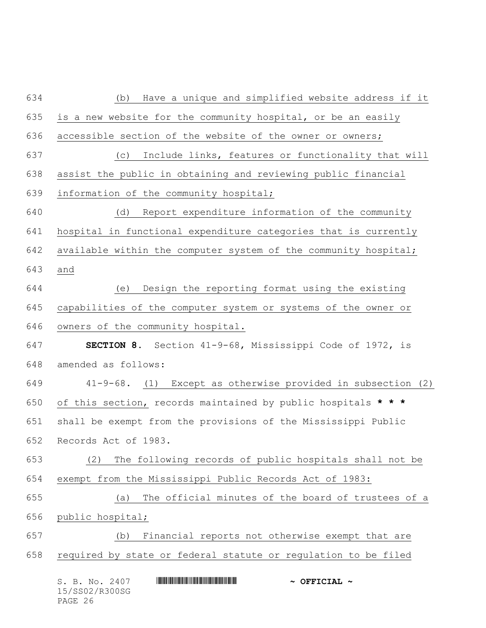| 634 | Have a unique and simplified website address if it<br>(b)       |
|-----|-----------------------------------------------------------------|
| 635 | is a new website for the community hospital, or be an easily    |
| 636 | accessible section of the website of the owner or owners;       |
| 637 | Include links, features or functionality that will<br>(C)       |
| 638 | assist the public in obtaining and reviewing public financial   |
| 639 | information of the community hospital;                          |
| 640 | Report expenditure information of the community<br>(d)          |
| 641 | hospital in functional expenditure categories that is currently |
| 642 | available within the computer system of the community hospital; |
| 643 | and                                                             |
| 644 | Design the reporting format using the existing<br>(e)           |
| 645 | capabilities of the computer system or systems of the owner or  |
| 646 | owners of the community hospital.                               |
| 647 | <b>SECTION 8.</b> Section 41-9-68, Mississippi Code of 1972, is |
| 648 | amended as follows:                                             |
| 649 | 41-9-68. (1) Except as otherwise provided in subsection (2)     |
| 650 | of this section, records maintained by public hospitals * * *   |
| 651 | shall be exempt from the provisions of the Mississippi Public   |
| 652 | Records Act of 1983.                                            |
| 653 | The following records of public hospitals shall not be<br>(2)   |
| 654 | exempt from the Mississippi Public Records Act of 1983:         |
| 655 | The official minutes of the board of trustees of a<br>(a)       |
| 656 | public hospital;                                                |
| 657 | Financial reports not otherwise exempt that are<br>(b)          |
| 658 | required by state or federal statute or regulation to be filed  |
|     | S. B. No. 2407<br>$\sim$ OFFICIAL $\sim$                        |
|     |                                                                 |

15/SS02/R300SG PAGE 26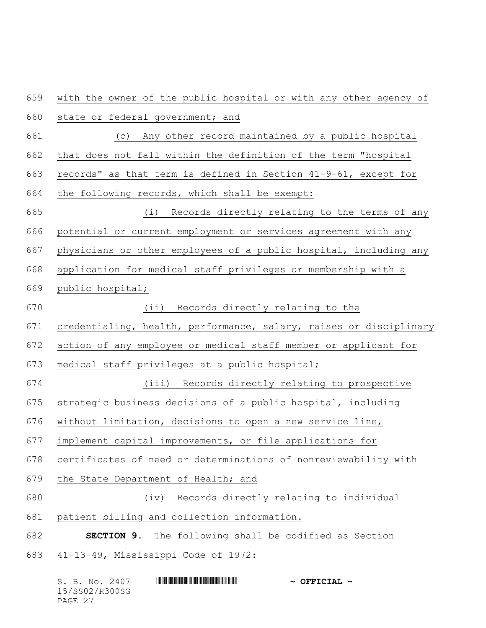with the owner of the public hospital or with any other agency of state or federal government; and (c) Any other record maintained by a public hospital that does not fall within the definition of the term "hospital records" as that term is defined in Section 41-9-61, except for the following records, which shall be exempt: (i) Records directly relating to the terms of any potential or current employment or services agreement with any physicians or other employees of a public hospital, including any application for medical staff privileges or membership with a public hospital; (ii) Records directly relating to the credentialing, health, performance, salary, raises or disciplinary action of any employee or medical staff member or applicant for medical staff privileges at a public hospital; (iii) Records directly relating to prospective strategic business decisions of a public hospital, including without limitation, decisions to open a new service line, implement capital improvements, or file applications for certificates of need or determinations of nonreviewability with the State Department of Health; and (iv) Records directly relating to individual patient billing and collection information. **SECTION 9.** The following shall be codified as Section 41-13-49, Mississippi Code of 1972:

| S. B. No. 2407 | $\sim$ OFFICIAL $\sim$ |
|----------------|------------------------|
| 15/SS02/R300SG |                        |
| PAGE 27        |                        |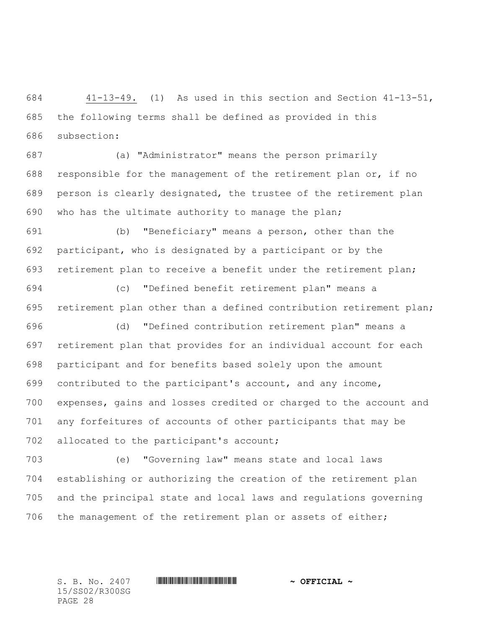41-13-49. (1) As used in this section and Section 41-13-51, the following terms shall be defined as provided in this subsection:

 (a) "Administrator" means the person primarily responsible for the management of the retirement plan or, if no person is clearly designated, the trustee of the retirement plan who has the ultimate authority to manage the plan;

 (b) "Beneficiary" means a person, other than the participant, who is designated by a participant or by the retirement plan to receive a benefit under the retirement plan;

 (c) "Defined benefit retirement plan" means a retirement plan other than a defined contribution retirement plan;

 (d) "Defined contribution retirement plan" means a retirement plan that provides for an individual account for each participant and for benefits based solely upon the amount contributed to the participant's account, and any income, expenses, gains and losses credited or charged to the account and any forfeitures of accounts of other participants that may be 702 allocated to the participant's account;

 (e) "Governing law" means state and local laws establishing or authorizing the creation of the retirement plan and the principal state and local laws and regulations governing the management of the retirement plan or assets of either;

15/SS02/R300SG PAGE 28

S. B. No. 2407 \*SS02/R300SG\* **~ OFFICIAL ~**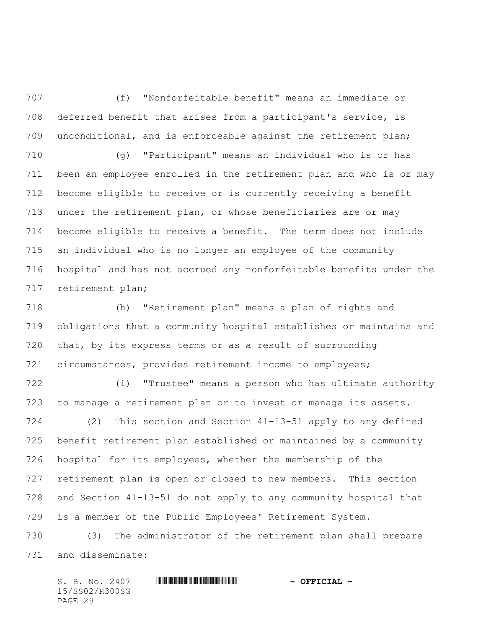(f) "Nonforfeitable benefit" means an immediate or deferred benefit that arises from a participant's service, is unconditional, and is enforceable against the retirement plan;

 (g) "Participant" means an individual who is or has been an employee enrolled in the retirement plan and who is or may become eligible to receive or is currently receiving a benefit under the retirement plan, or whose beneficiaries are or may become eligible to receive a benefit. The term does not include an individual who is no longer an employee of the community hospital and has not accrued any nonforfeitable benefits under the retirement plan;

 (h) "Retirement plan" means a plan of rights and obligations that a community hospital establishes or maintains and that, by its express terms or as a result of surrounding circumstances, provides retirement income to employees;

 (i) "Trustee" means a person who has ultimate authority to manage a retirement plan or to invest or manage its assets.

 (2) This section and Section 41-13-51 apply to any defined benefit retirement plan established or maintained by a community hospital for its employees, whether the membership of the retirement plan is open or closed to new members. This section and Section 41-13-51 do not apply to any community hospital that is a member of the Public Employees' Retirement System.

 (3) The administrator of the retirement plan shall prepare and disseminate: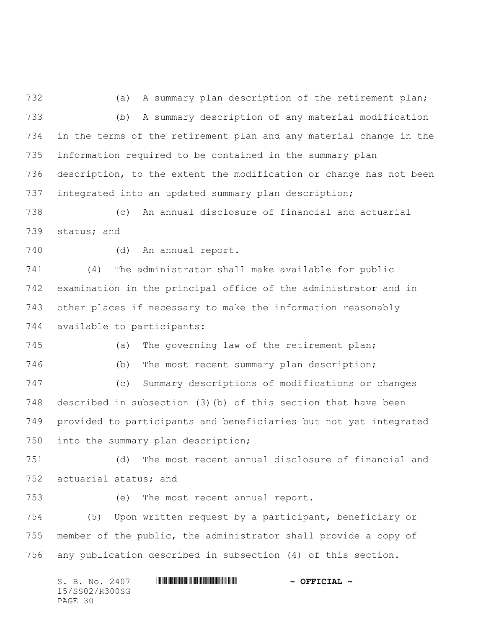(a) A summary plan description of the retirement plan; (b) A summary description of any material modification in the terms of the retirement plan and any material change in the information required to be contained in the summary plan description, to the extent the modification or change has not been integrated into an updated summary plan description;

 (c) An annual disclosure of financial and actuarial status; and

(d) An annual report.

 (4) The administrator shall make available for public examination in the principal office of the administrator and in other places if necessary to make the information reasonably available to participants:

 (a) The governing law of the retirement plan; (b) The most recent summary plan description; (c) Summary descriptions of modifications or changes described in subsection (3)(b) of this section that have been provided to participants and beneficiaries but not yet integrated

into the summary plan description;

 (d) The most recent annual disclosure of financial and actuarial status; and

(e) The most recent annual report.

 (5) Upon written request by a participant, beneficiary or member of the public, the administrator shall provide a copy of any publication described in subsection (4) of this section.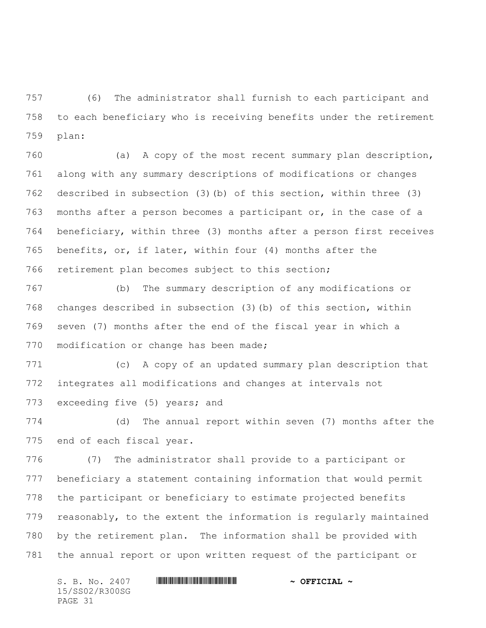(6) The administrator shall furnish to each participant and to each beneficiary who is receiving benefits under the retirement plan:

 (a) A copy of the most recent summary plan description, along with any summary descriptions of modifications or changes described in subsection (3)(b) of this section, within three (3) months after a person becomes a participant or, in the case of a beneficiary, within three (3) months after a person first receives benefits, or, if later, within four (4) months after the retirement plan becomes subject to this section;

 (b) The summary description of any modifications or changes described in subsection (3)(b) of this section, within seven (7) months after the end of the fiscal year in which a 770 modification or change has been made;

 (c) A copy of an updated summary plan description that integrates all modifications and changes at intervals not 773 exceeding five (5) years; and

 (d) The annual report within seven (7) months after the end of each fiscal year.

 (7) The administrator shall provide to a participant or beneficiary a statement containing information that would permit the participant or beneficiary to estimate projected benefits reasonably, to the extent the information is regularly maintained by the retirement plan. The information shall be provided with the annual report or upon written request of the participant or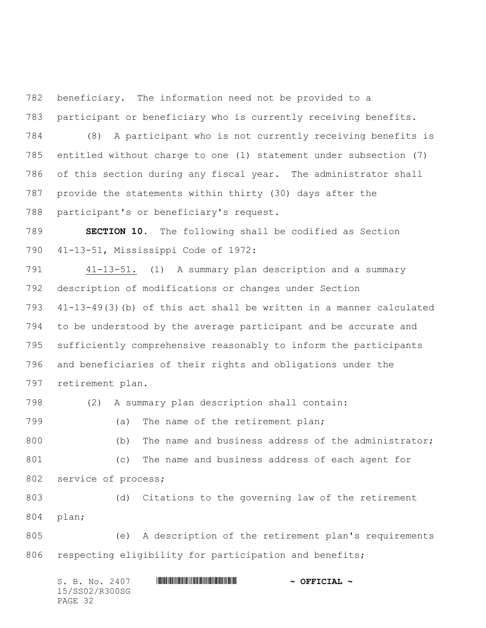beneficiary. The information need not be provided to a participant or beneficiary who is currently receiving benefits.

 (8) A participant who is not currently receiving benefits is entitled without charge to one (1) statement under subsection (7) of this section during any fiscal year. The administrator shall provide the statements within thirty (30) days after the participant's or beneficiary's request.

 **SECTION 10.** The following shall be codified as Section 41-13-51, Mississippi Code of 1972:

 41-13-51. (1) A summary plan description and a summary description of modifications or changes under Section 41-13-49(3)(b) of this act shall be written in a manner calculated to be understood by the average participant and be accurate and sufficiently comprehensive reasonably to inform the participants and beneficiaries of their rights and obligations under the retirement plan.

(2) A summary plan description shall contain:

799 (a) The name of the retirement plan;

 (b) The name and business address of the administrator; (c) The name and business address of each agent for 802 service of process;

 (d) Citations to the governing law of the retirement plan;

 (e) A description of the retirement plan's requirements 806 respecting eligibility for participation and benefits;

| S. B. No. 2407 | $\sim$ OFFICIAL $\sim$ |
|----------------|------------------------|
| 15/SS02/R300SG |                        |
| PAGE 32        |                        |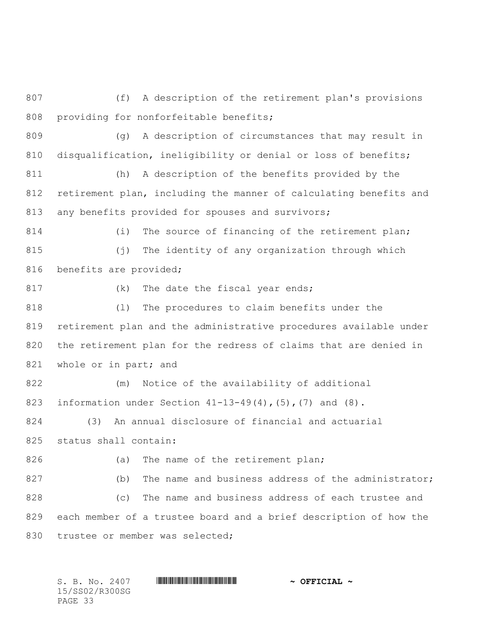807 (f) A description of the retirement plan's provisions 808 providing for nonforfeitable benefits;

809 (g) A description of circumstances that may result in 810 disqualification, ineligibility or denial or loss of benefits;

811 (h) A description of the benefits provided by the 812 retirement plan, including the manner of calculating benefits and 813 any benefits provided for spouses and survivors;

814 (i) The source of financing of the retirement plan; 815 (j) The identity of any organization through which 816 benefits are provided;

817 (k) The date the fiscal year ends;

 (l) The procedures to claim benefits under the retirement plan and the administrative procedures available under the retirement plan for the redress of claims that are denied in 821 whole or in part; and

822 (m) Notice of the availability of additional 823 information under Section  $41-13-49(4)$ ,  $(5)$ ,  $(7)$  and  $(8)$ .

824 (3) An annual disclosure of financial and actuarial 825 status shall contain:

826 (a) The name of the retirement plan;

827 (b) The name and business address of the administrator; 828 (c) The name and business address of each trustee and 829 each member of a trustee board and a brief description of how the 830 trustee or member was selected;

15/SS02/R300SG PAGE 33

S. B. No. 2407 **\*\*\***  $\blacksquare$  **WITH AND INTERFERENT**  $\sim$  **OFFICIAL**  $\sim$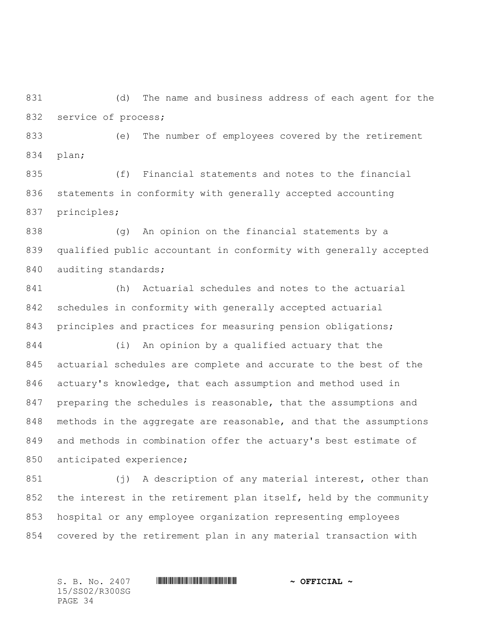(d) The name and business address of each agent for the 832 service of process;

 (e) The number of employees covered by the retirement plan;

 (f) Financial statements and notes to the financial statements in conformity with generally accepted accounting principles;

 (g) An opinion on the financial statements by a qualified public accountant in conformity with generally accepted 840 auditing standards;

 (h) Actuarial schedules and notes to the actuarial schedules in conformity with generally accepted actuarial principles and practices for measuring pension obligations;

 (i) An opinion by a qualified actuary that the actuarial schedules are complete and accurate to the best of the actuary's knowledge, that each assumption and method used in preparing the schedules is reasonable, that the assumptions and methods in the aggregate are reasonable, and that the assumptions and methods in combination offer the actuary's best estimate of anticipated experience;

 (j) A description of any material interest, other than the interest in the retirement plan itself, held by the community hospital or any employee organization representing employees covered by the retirement plan in any material transaction with

15/SS02/R300SG PAGE 34

S. B. No. 2407 **\*\*\***  $\blacksquare$  **WITH AND INTERFERENT**  $\sim$  **OFFICIAL**  $\sim$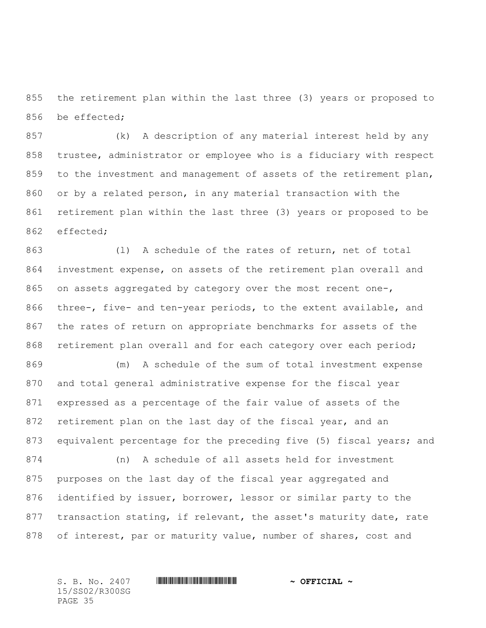the retirement plan within the last three (3) years or proposed to be effected;

 (k) A description of any material interest held by any trustee, administrator or employee who is a fiduciary with respect 859 to the investment and management of assets of the retirement plan, or by a related person, in any material transaction with the retirement plan within the last three (3) years or proposed to be effected;

 (l) A schedule of the rates of return, net of total investment expense, on assets of the retirement plan overall and on assets aggregated by category over the most recent one-, three-, five- and ten-year periods, to the extent available, and the rates of return on appropriate benchmarks for assets of the retirement plan overall and for each category over each period;

 (m) A schedule of the sum of total investment expense and total general administrative expense for the fiscal year expressed as a percentage of the fair value of assets of the 872 retirement plan on the last day of the fiscal year, and an 873 equivalent percentage for the preceding five (5) fiscal years; and

 (n) A schedule of all assets held for investment purposes on the last day of the fiscal year aggregated and identified by issuer, borrower, lessor or similar party to the transaction stating, if relevant, the asset's maturity date, rate 878 of interest, par or maturity value, number of shares, cost and

15/SS02/R300SG PAGE 35

## S. B. No. 2407 **\*\*\***  $\blacksquare$  **WITH AND INTERFERENT**  $\sim$  **OFFICIAL**  $\sim$